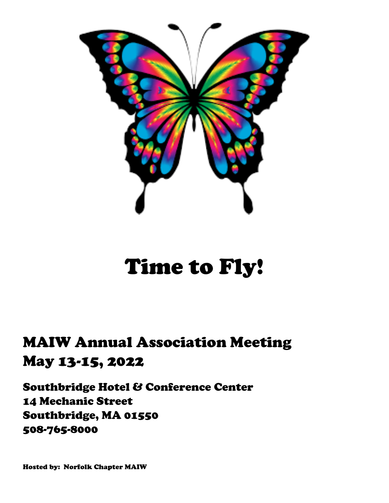

# Time to Fly!

## MAIW Annual Association Meeting May 13-15, 2022

Southbridge Hotel & Conference Center 14 Mechanic Street Southbridge, MA 01550 508-765-8000

Hosted by: Norfolk Chapter MAIW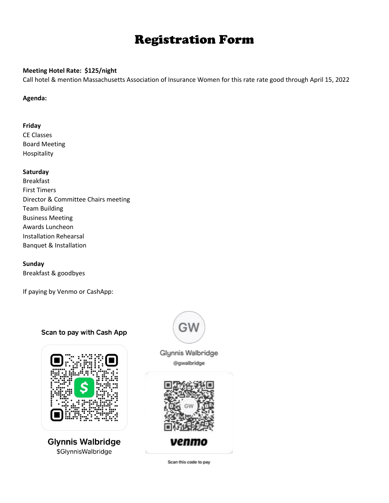### Registration Form

#### **Meeting Hotel Rate: \$125/night**

Call hotel & mention Massachusetts Association of Insurance Women for this rate rate good through April 15, 2022

#### **Agenda:**

#### **Friday**

CE Classes Board Meeting Hospitality

#### **Saturday**

Breakfast First Timers Director & Committee Chairs meeting Team Building Business Meeting Awards Luncheon Installation Rehearsal Banquet & Installation

**Sunday** Breakfast & goodbyes

If paying by Venmo or CashApp:



\$GlynnisWalbridge





Scan this code to pay